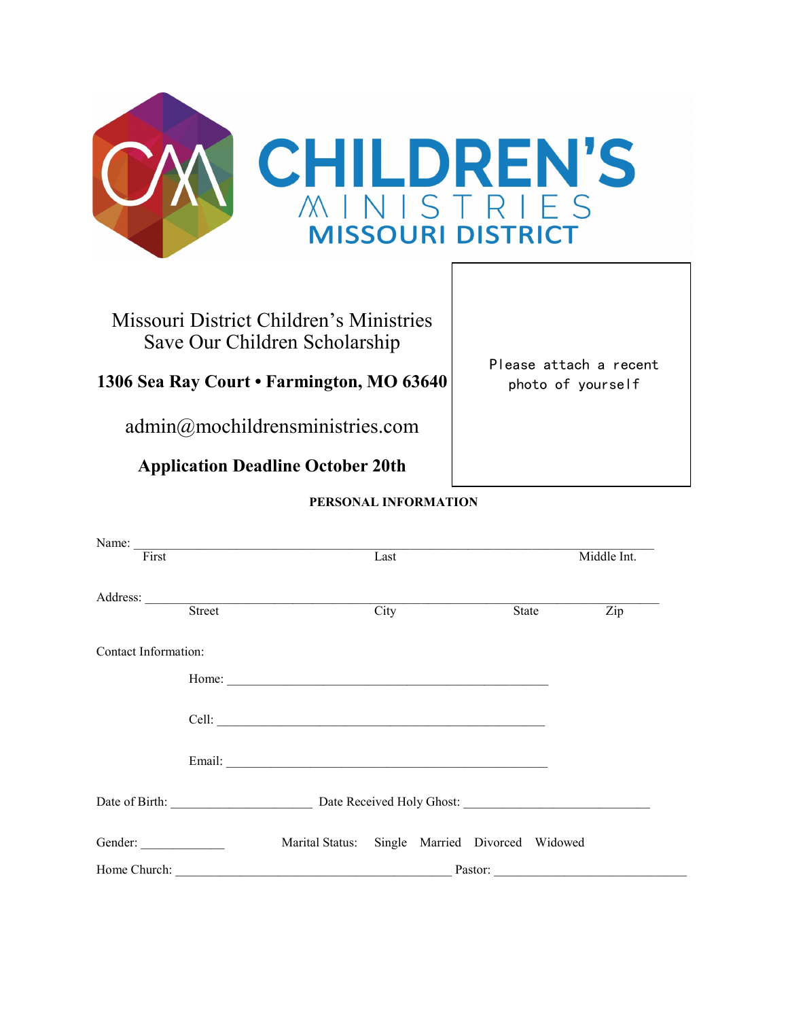

## Missouri District Children's Ministries Save Our Children Scholarship

**1306 Sea Ray Court • Farmington, MO 63640**

admin@mochildrensministries.com

**Application Deadline October 20th**

Please attach a recent photo of yourself

## **PERSONAL INFORMATION**

| First                |         | Name: $\frac{1}{1}$                             | Last              |  |  |       | Middle Int.               |
|----------------------|---------|-------------------------------------------------|-------------------|--|--|-------|---------------------------|
|                      |         | Address: Street                                 | $\overline{City}$ |  |  | State | $\overline{\mathrm{Zip}}$ |
|                      |         |                                                 |                   |  |  |       |                           |
| Contact Information: |         |                                                 |                   |  |  |       |                           |
|                      |         |                                                 |                   |  |  |       |                           |
|                      |         |                                                 |                   |  |  |       |                           |
|                      |         |                                                 |                   |  |  |       |                           |
|                      |         | Date of Birth: Date Received Holy Ghost:        |                   |  |  |       |                           |
| Gender:              |         | Marital Status: Single Married Divorced Widowed |                   |  |  |       |                           |
|                      | Pastor: |                                                 |                   |  |  |       |                           |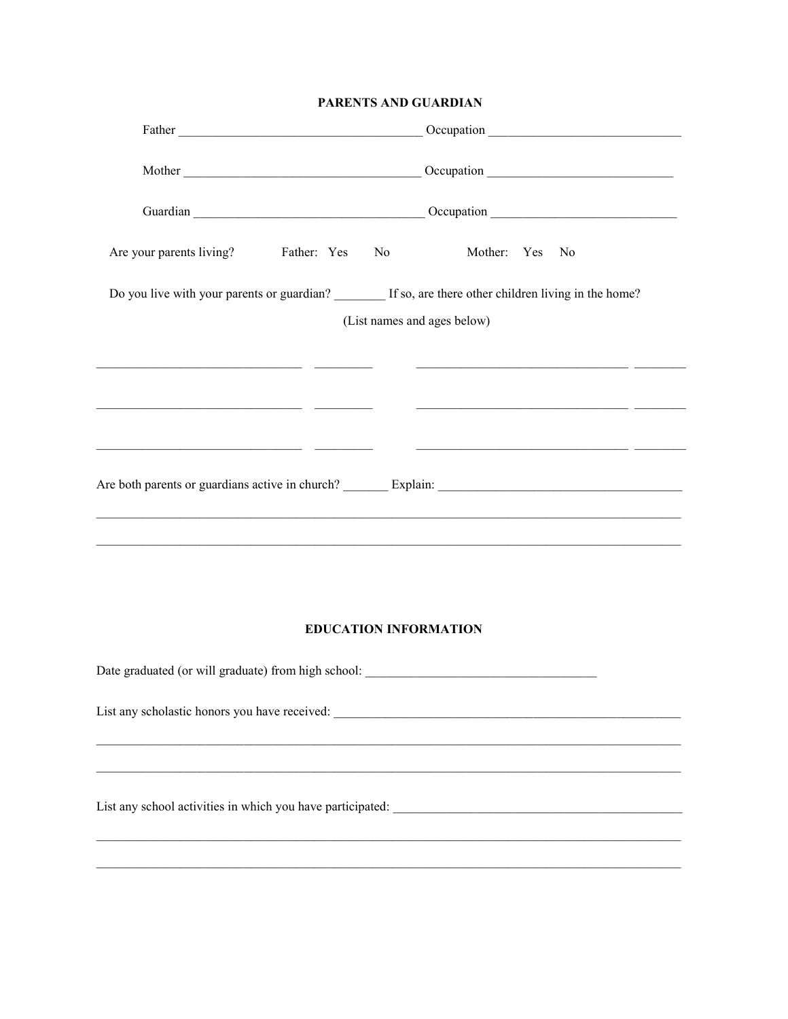## PARENTS AND GUARDIAN

|                                                                                                                      |                                                                                                                                                                                                                                      | Guardian Current Contract Contract Contract Contract Contract Contract Contract Contract Contract Contract Contract Contract Contract Contract Contract Contract Contract Contract Contract Contract Contract Contract Contrac |                                                                                                                               |  |  |  |
|----------------------------------------------------------------------------------------------------------------------|--------------------------------------------------------------------------------------------------------------------------------------------------------------------------------------------------------------------------------------|--------------------------------------------------------------------------------------------------------------------------------------------------------------------------------------------------------------------------------|-------------------------------------------------------------------------------------------------------------------------------|--|--|--|
|                                                                                                                      |                                                                                                                                                                                                                                      |                                                                                                                                                                                                                                |                                                                                                                               |  |  |  |
| Are your parents living? Father: Yes No Mother: Yes No                                                               |                                                                                                                                                                                                                                      |                                                                                                                                                                                                                                |                                                                                                                               |  |  |  |
|                                                                                                                      |                                                                                                                                                                                                                                      |                                                                                                                                                                                                                                | Do you live with your parents or guardian? If so, are there other children living in the home?<br>(List names and ages below) |  |  |  |
|                                                                                                                      | <u> 2000 - Johann Johann Johann Johann Johann Johann Johann Johann Johann Johann Johann Johann Johann Johann Johann Johann Johann Johann Johann Johann Johann Johann Johann Johann Johann Johann Johann Johann Johann Johann Joh</u> |                                                                                                                                                                                                                                | <u> 2008 - Jan Barnett, amerikan basar dan basa dan basa dan basa dan basa dan basa dan basa dan basa dan basa da</u>         |  |  |  |
| <u> 2000 - 2000 - 2000 - 2000 - 2000 - 2000 - 2000 - 2000 - 2000 - 2000 - 2000 - 2000 - 2000 - 2000 - 2000 - 200</u> |                                                                                                                                                                                                                                      |                                                                                                                                                                                                                                | <u> 2000 - Jan James James James James James James James James James James James James James James James James Ja</u>         |  |  |  |
| <u> 1989 - Johann John Stone, markin film ar yn y brening yn y gwerinnas y brening y gwerinnas y gwerinnas y gwe</u> |                                                                                                                                                                                                                                      |                                                                                                                                                                                                                                | <u> 1980 - Johann Stoff, amerikansk politiker (d. 1980)</u>                                                                   |  |  |  |
|                                                                                                                      |                                                                                                                                                                                                                                      |                                                                                                                                                                                                                                |                                                                                                                               |  |  |  |
|                                                                                                                      |                                                                                                                                                                                                                                      |                                                                                                                                                                                                                                | <b>EDUCATION INFORMATION</b>                                                                                                  |  |  |  |
|                                                                                                                      |                                                                                                                                                                                                                                      |                                                                                                                                                                                                                                |                                                                                                                               |  |  |  |
|                                                                                                                      |                                                                                                                                                                                                                                      |                                                                                                                                                                                                                                |                                                                                                                               |  |  |  |
|                                                                                                                      |                                                                                                                                                                                                                                      |                                                                                                                                                                                                                                |                                                                                                                               |  |  |  |
|                                                                                                                      |                                                                                                                                                                                                                                      |                                                                                                                                                                                                                                |                                                                                                                               |  |  |  |
|                                                                                                                      |                                                                                                                                                                                                                                      |                                                                                                                                                                                                                                |                                                                                                                               |  |  |  |